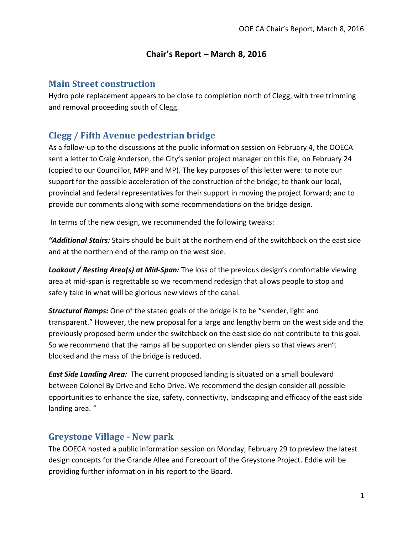#### **Chair's Report – March 8, 2016**

#### **Main Street construction**

Hydro pole replacement appears to be close to completion north of Clegg, with tree trimming and removal proceeding south of Clegg.

# **Clegg / Fifth Avenue pedestrian bridge**

As a follow-up to the discussions at the public information session on February 4, the OOECA sent a letter to Craig Anderson, the City's senior project manager on this file, on February 24 (copied to our Councillor, MPP and MP). The key purposes of this letter were: to note our support for the possible acceleration of the construction of the bridge; to thank our local, provincial and federal representatives for their support in moving the project forward; and to provide our comments along with some recommendations on the bridge design.

In terms of the new design, we recommended the following tweaks:

*"Additional Stairs:* Stairs should be built at the northern end of the switchback on the east side and at the northern end of the ramp on the west side.

*Lookout / Resting Area(s) at Mid-Span:* The loss of the previous design's comfortable viewing area at mid-span is regrettable so we recommend redesign that allows people to stop and safely take in what will be glorious new views of the canal.

*Structural Ramps:* One of the stated goals of the bridge is to be "slender, light and transparent." However, the new proposal for a large and lengthy berm on the west side and the previously proposed berm under the switchback on the east side do not contribute to this goal. So we recommend that the ramps all be supported on slender piers so that views aren't blocked and the mass of the bridge is reduced.

*East Side Landing Area:* The current proposed landing is situated on a small boulevard between Colonel By Drive and Echo Drive. We recommend the design consider all possible opportunities to enhance the size, safety, connectivity, landscaping and efficacy of the east side landing area. "

# **Greystone Village - New park**

The OOECA hosted a public information session on Monday, February 29 to preview the latest design concepts for the Grande Allee and Forecourt of the Greystone Project. Eddie will be providing further information in his report to the Board.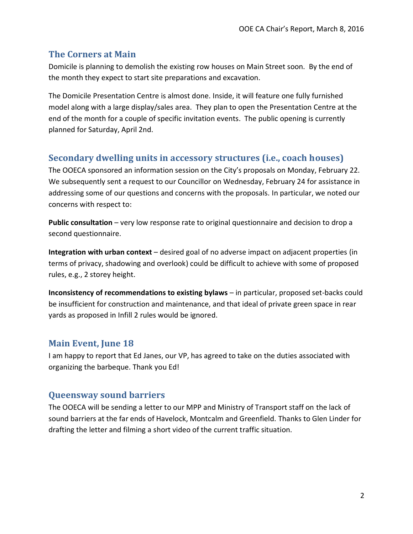### **The Corners at Main**

Domicile is planning to demolish the existing row houses on Main Street soon. By the end of the month they expect to start site preparations and excavation.

The Domicile Presentation Centre is almost done. Inside, it will feature one fully furnished model along with a large display/sales area. They plan to open the Presentation Centre at the end of the month for a couple of specific invitation events. The public opening is currently planned for Saturday, April 2nd.

# **Secondary dwelling units in accessory structures (i.e., coach houses)**

The OOECA sponsored an information session on the City's proposals on Monday, February 22. We subsequently sent a request to our Councillor on Wednesday, February 24 for assistance in addressing some of our questions and concerns with the proposals. In particular, we noted our concerns with respect to:

**Public consultation** – very low response rate to original questionnaire and decision to drop a second questionnaire.

**Integration with urban context** – desired goal of no adverse impact on adjacent properties (in terms of privacy, shadowing and overlook) could be difficult to achieve with some of proposed rules, e.g., 2 storey height.

**Inconsistency of recommendations to existing bylaws** – in particular, proposed set-backs could be insufficient for construction and maintenance, and that ideal of private green space in rear yards as proposed in Infill 2 rules would be ignored.

# **Main Event, June 18**

I am happy to report that Ed Janes, our VP, has agreed to take on the duties associated with organizing the barbeque. Thank you Ed!

# **Queensway sound barriers**

The OOECA will be sending a letter to our MPP and Ministry of Transport staff on the lack of sound barriers at the far ends of Havelock, Montcalm and Greenfield. Thanks to Glen Linder for drafting the letter and filming a short video of the current traffic situation.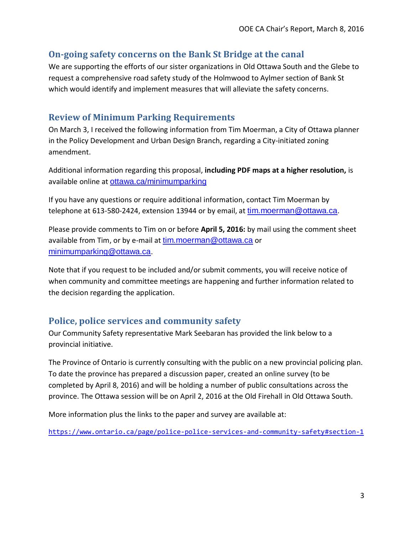### **On-going safety concerns on the Bank St Bridge at the canal**

We are supporting the efforts of our sister organizations in Old Ottawa South and the Glebe to request a comprehensive road safety study of the Holmwood to Aylmer section of Bank St which would identify and implement measures that will alleviate the safety concerns.

### **Review of Minimum Parking Requirements**

On March 3, I received the following information from Tim Moerman, a City of Ottawa planner in the Policy Development and Urban Design Branch, regarding a City-initiated zoning amendment.

Additional information regarding this proposal, **including PDF maps at a higher resolution,** is available online at <ottawa.ca/minimumparking>

If you have any questions or require additional information, contact Tim Moerman by telephone at 613-580-2424, extension 13944 or by email, at [tim.moerman@ottawa.ca](mailto:tim.moerman@ottawa.ca?subject=Minimum%20Parking%20Review%20-%20Révision%20des%20normes%20minimales%20de%20stationnement%20D02-02-16-0002%20).

Please provide comments to Tim on or before **April 5, 2016:** by mail using the comment sheet available from Tim, or by e-mail at [tim.moerman@ottawa.ca](mailto:tim.moerman@ottawa.ca?subject=Minimum%20Parking%20Review%20-%20Révision%20des%20normes%20minimales%20de%20stationnement%20D02-02-16-0002%20) or [minimumparking@ottawa.ca](mailto:minimumparking@ottawa.ca?subject=Minimum%20Parking%20Review%20-%20Révision%20des%20normes%20minimales%20de%20stationnement%20D02-02-16-0002%20).

Note that if you request to be included and/or submit comments, you will receive notice of when community and committee meetings are happening and further information related to the decision regarding the application.

# **Police, police services and community safety**

Our Community Safety representative Mark Seebaran has provided the link below to a provincial initiative.

The Province of Ontario is currently consulting with the public on a new provincial policing plan. To date the province has prepared a discussion paper, created an online survey (to be completed by April 8, 2016) and will be holding a number of public consultations across the province. The Ottawa session will be on April 2, 2016 at the Old Firehall in Old Ottawa South.

More information plus the links to the paper and survey are available at:

<https://www.ontario.ca/page/police-police-services-and-community-safety#section-1>